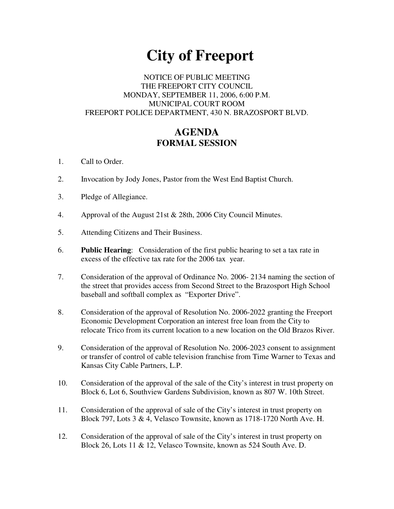# **City of Freeport**

## NOTICE OF PUBLIC MEETING THE FREEPORT CITY COUNCIL MONDAY, SEPTEMBER 11, 2006, 6:00 P.M. MUNICIPAL COURT ROOM FREEPORT POLICE DEPARTMENT, 430 N. BRAZOSPORT BLVD.

# **AGENDA FORMAL SESSION**

- 1. Call to Order.
- 2. Invocation by Jody Jones, Pastor from the West End Baptist Church.
- 3. Pledge of Allegiance.
- 4. Approval of the August 21st & 28th, 2006 City Council Minutes.
- 5. Attending Citizens and Their Business.
- 6. **Public Hearing**: Consideration of the first public hearing to set a tax rate in excess of the effective tax rate for the 2006 tax year.
- 7. Consideration of the approval of Ordinance No. 2006- 2134 naming the section of the street that provides access from Second Street to the Brazosport High School baseball and softball complex as "Exporter Drive".
- 8. Consideration of the approval of Resolution No. 2006-2022 granting the Freeport Economic Development Corporation an interest free loan from the City to relocate Trico from its current location to a new location on the Old Brazos River.
- 9. Consideration of the approval of Resolution No. 2006-2023 consent to assignment or transfer of control of cable television franchise from Time Warner to Texas and Kansas City Cable Partners, L.P.
- 10. Consideration of the approval of the sale of the City's interest in trust property on Block 6, Lot 6, Southview Gardens Subdivision, known as 807 W. 10th Street.
- 11. Consideration of the approval of sale of the City's interest in trust property on Block 797, Lots 3 & 4, Velasco Townsite, known as 1718-1720 North Ave. H.
- 12. Consideration of the approval of sale of the City's interest in trust property on Block 26, Lots 11 & 12, Velasco Townsite, known as 524 South Ave. D.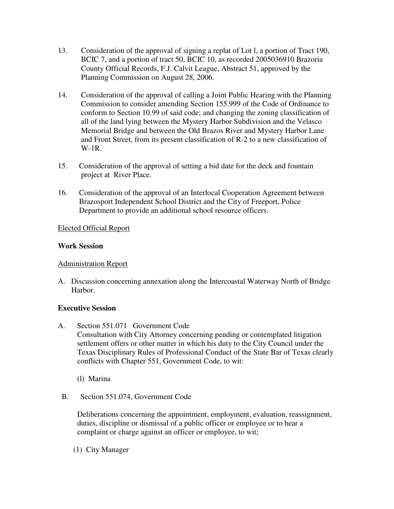- 13. Consideration of the approval of signing a replat of Lot l, a portion of Tract 190, BCIC 7, and a portion of tract 50, BCIC 10, as recorded 2005036910 Brazoria County Official Records, F.J. Calvit League, Abstract 51, approved by the Planning Commission on August 28, 2006.
- 14. Consideration of the approval of calling a Joint Public Hearing with the Planning Commission to consider amending Section 155.999 of the Code of Ordinance to conform to Section 10.99 of said code; and changing the zoning classification of all of the land lying between the Mystery Harbor Subdivision and the Velasco Memorial Bridge and between the Old Brazos River and Mystery Harbor Lane and Front Street, from its present classification of R-2 to a new classification of W-1R.
- 15. Consideration of the approval of setting a bid date for the deck and fountain project at River Place.
- 16. Consideration of the approval of an Interlocal Cooperation Agreement between Brazosport Independent School District and the City of Freeport, Police Department to provide an additional school resource officers.

### Elected Official Report

### **Work Session**

# Administration Report

A. Discussion concerning annexation along the Intercoastal Waterway North of Bridge Harbor.

#### **Executive Session**

- A. Section 551.071 Government Code Consultation with City Attorney concerning pending or contemplated litigation settlement offers or other matter in which his duty to the City Council under the Texas Disciplinary Rules of Professional Conduct of the State Bar of Texas clearly conflicts with Chapter 551, Government Code, to wit:
	- (l) Marina
- B. Section 551.074, Government Code

Deliberations concerning the appointment, employment, evaluation, reassignment, duties, discipline or dismissal of a public officer or employee or to hear a complaint or charge against an officer or employee, to wit;

(1) City Manager